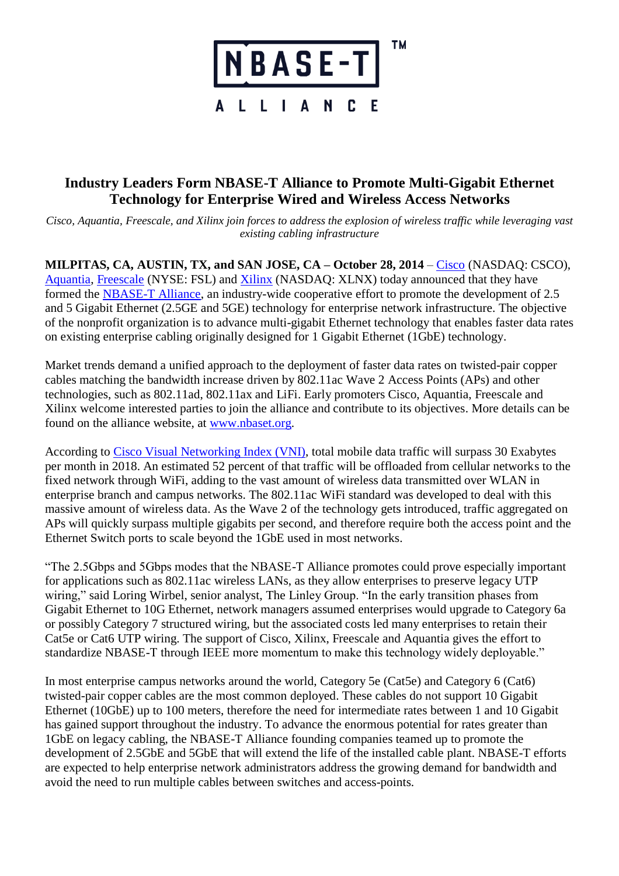

## **Industry Leaders Form NBASE-T Alliance to Promote Multi-Gigabit Ethernet Technology for Enterprise Wired and Wireless Access Networks**

*Cisco, Aquantia, Freescale, and Xilinx join forces to address the explosion of wireless traffic while leveraging vast existing cabling infrastructure*

**MILPITAS, CA, AUSTIN, TX, and SAN JOSE, CA – October 28, 2014** – [Cisco](http://www.cisco.com/) (NASDAQ: CSCO), [Aquantia,](http://www.aquantia.com/) [Freescale](http://www.freescale.com/) (NYSE: FSL) and [Xilinx](http://www.xilinx.com/) (NASDAQ: XLNX) today announced that they have formed the [NBASE-T Alliance,](http://www.nbaset.org/) an industry-wide cooperative effort to promote the development of 2.5 and 5 Gigabit Ethernet (2.5GE and 5GE) technology for enterprise network infrastructure. The objective of the nonprofit organization is to advance multi-gigabit Ethernet technology that enables faster data rates on existing enterprise cabling originally designed for 1 Gigabit Ethernet (1GbE) technology.

Market trends demand a unified approach to the deployment of faster data rates on twisted-pair copper cables matching the bandwidth increase driven by 802.11ac Wave 2 Access Points (APs) and other technologies, such as 802.11ad, 802.11ax and LiFi. Early promoters Cisco, Aquantia, Freescale and Xilinx welcome interested parties to join the alliance and contribute to its objectives. More details can be found on the alliance website, at [www.nbaset.org.](http://www.nbaset.org/)

According to [Cisco Visual Networking Index \(VNI\),](http://www.cisco.com/c/en/us/solutions/collateral/service-provider/visual-networking-index-vni/white_paper_c11-520862.html) total mobile data traffic will surpass 30 Exabytes per month in 2018. An estimated 52 percent of that traffic will be offloaded from cellular networks to the fixed network through WiFi, adding to the vast amount of wireless data transmitted over WLAN in enterprise branch and campus networks. The 802.11ac WiFi standard was developed to deal with this massive amount of wireless data. As the Wave 2 of the technology gets introduced, traffic aggregated on APs will quickly surpass multiple gigabits per second, and therefore require both the access point and the Ethernet Switch ports to scale beyond the 1GbE used in most networks.

"The 2.5Gbps and 5Gbps modes that the NBASE-T Alliance promotes could prove especially important for applications such as 802.11ac wireless LANs, as they allow enterprises to preserve legacy UTP wiring," said Loring Wirbel, senior analyst, The Linley Group. "In the early transition phases from Gigabit Ethernet to 10G Ethernet, network managers assumed enterprises would upgrade to Category 6a or possibly Category 7 structured wiring, but the associated costs led many enterprises to retain their Cat5e or Cat6 UTP wiring. The support of Cisco, Xilinx, Freescale and Aquantia gives the effort to standardize NBASE-T through IEEE more momentum to make this technology widely deployable."

In most enterprise campus networks around the world, Category 5e (Cat5e) and Category 6 (Cat6) twisted-pair copper cables are the most common deployed. These cables do not support 10 Gigabit Ethernet (10GbE) up to 100 meters, therefore the need for intermediate rates between 1 and 10 Gigabit has gained support throughout the industry. To advance the enormous potential for rates greater than 1GbE on legacy cabling, the NBASE-T Alliance founding companies teamed up to promote the development of 2.5GbE and 5GbE that will extend the life of the installed cable plant. NBASE-T efforts are expected to help enterprise network administrators address the growing demand for bandwidth and avoid the need to run multiple cables between switches and access-points.